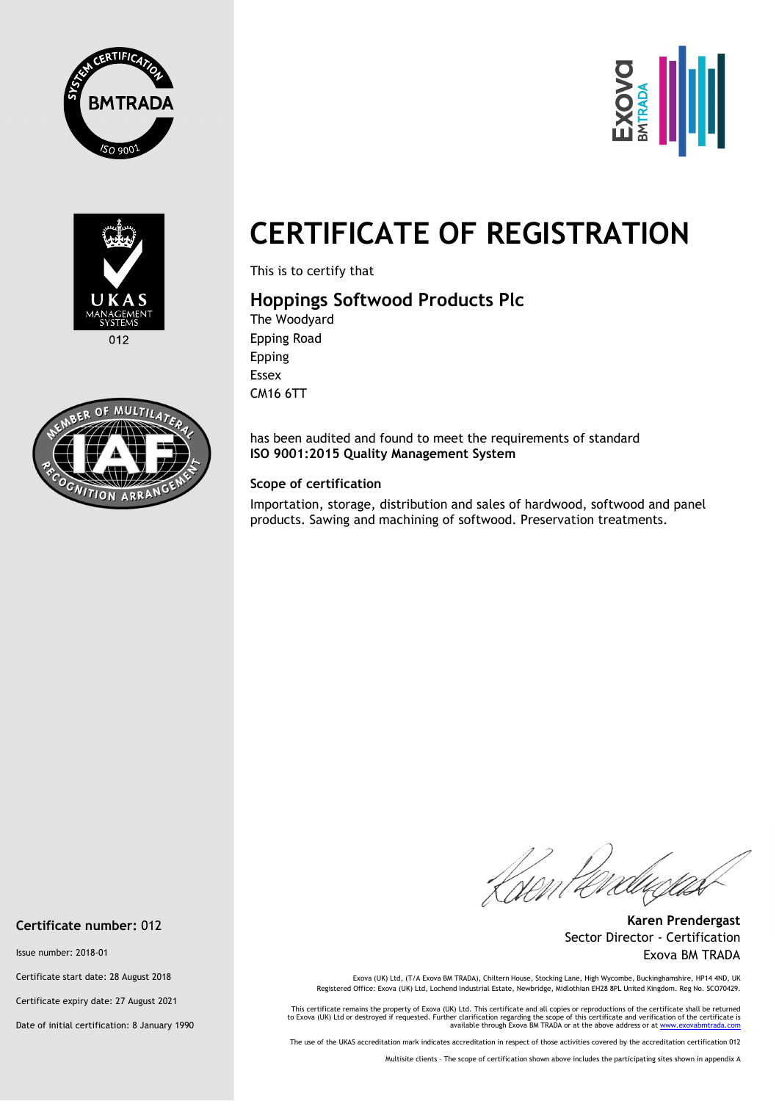





 $012$ 



# **CERTIFICATE OF REGISTRATION**

This is to certify that

## **Hoppings Softwood Products Plc**

The Woodyard Epping Road Epping Essex CM16 6TT

has been audited and found to meet the requirements of standard **ISO 9001:2015 Quality Management System** 

#### **Scope of certification**

Importation, storage, distribution and sales of hardwood, softwood and panel products. Sawing and machining of softwood. Preservation treatments.

Knen Per

**Karen Prendergast** Sector Director - Certification Exova BM TRADA

Exova (UK) Ltd, (T/A Exova BM TRADA), Chiltern House, Stocking Lane, High Wycombe, Buckinghamshire, HP14 4ND, UK<br>Registered Office: Exova (UK) Ltd, Lochend Industrial Estate, Newbridge, Midlothian EH28 8PL United Kingdom.

This certificate remains the property of Exova (UK) Ltd. This certificate and all copies or reproductions of the certificate shall be returned<br>to Exova (UK) Ltd or destroyed if requested. Further clarification regarding th

The use of the UKAS accreditation mark indicates accreditation in respect of those activities covered by the accreditation certification 012

Multisite clients – The scope of certification shown above includes the participating sites shown in appendix A

#### **Certificate number:** 012

Issue number: 2018-01

Certificate start date: 28 August 2018

Certificate expiry date: 27 August 2021

Date of initial certification: 8 January 1990